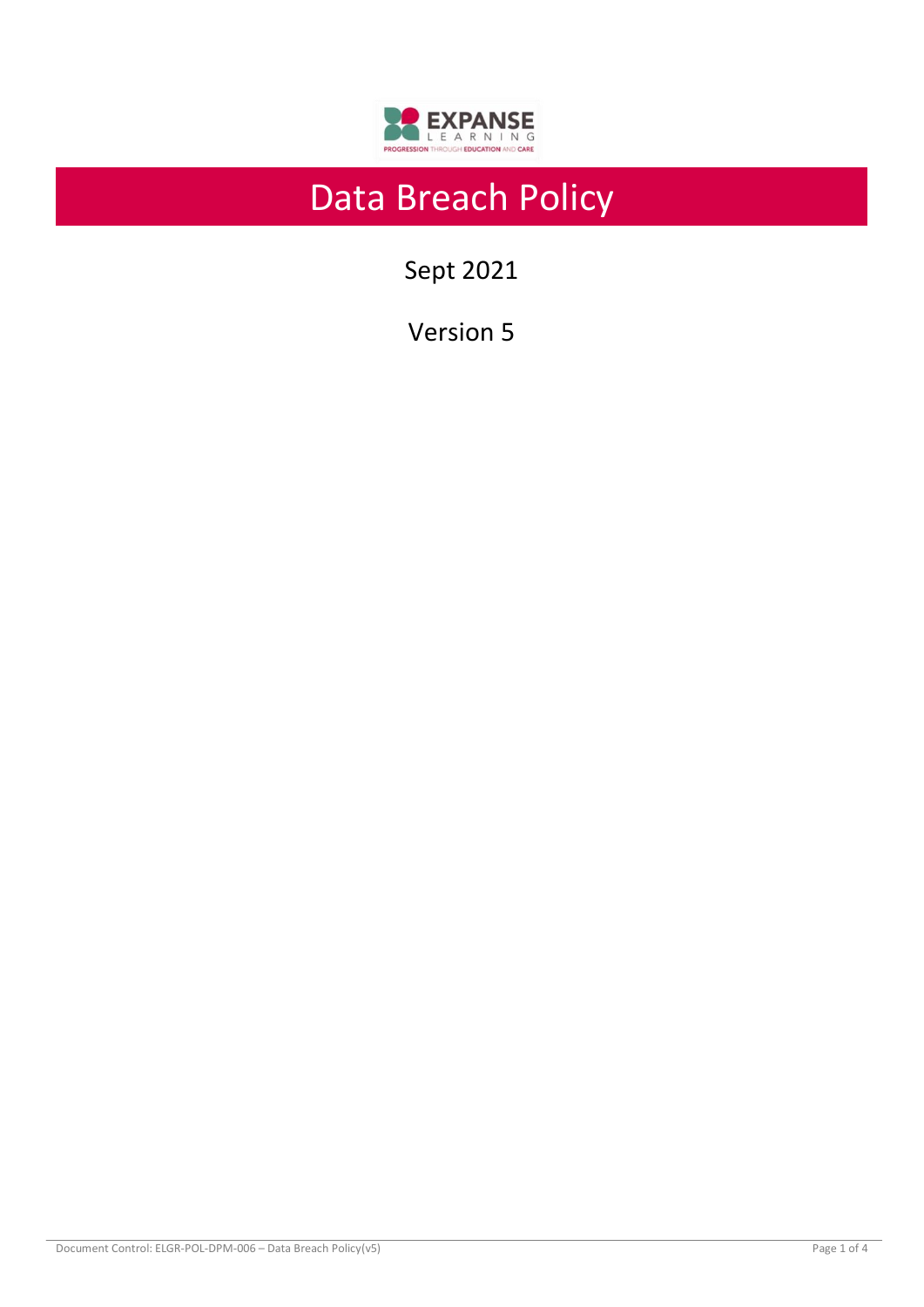

# Data Breach Policy

Sept 2021

Version 5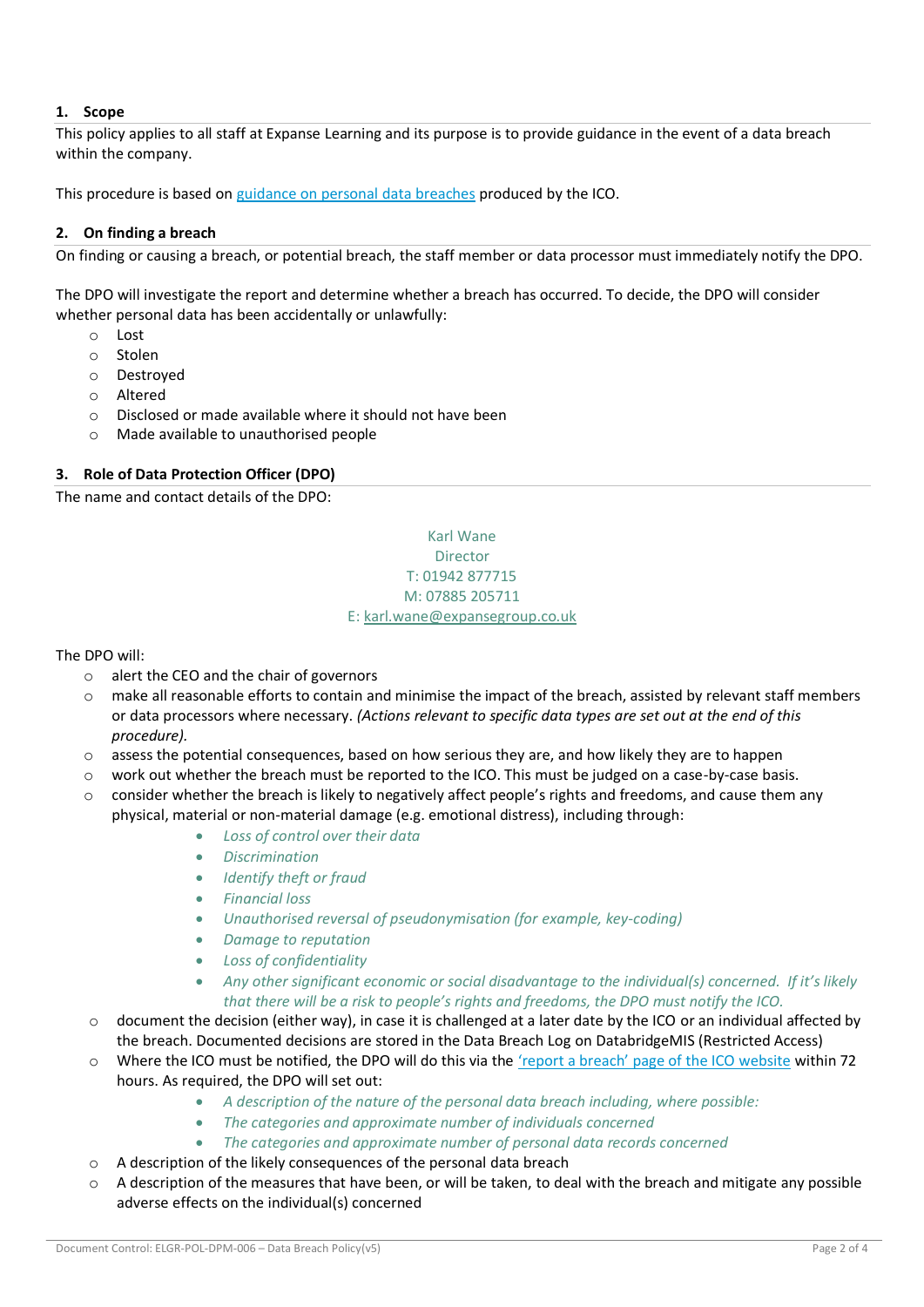# **1. Scope**

This policy applies to all staff at Expanse Learning and its purpose is to provide guidance in the event of a data breach within the company.

This procedure is based on [guidance on personal data breaches](https://ico.org.uk/for-organisations/guide-to-the-general-data-protection-regulation-gdpr/personal-data-breaches/) produced by the ICO.

#### **2. On finding a breach**

On finding or causing a breach, or potential breach, the staff member or data processor must immediately notify the DPO.

The DPO will investigate the report and determine whether a breach has occurred. To decide, the DPO will consider whether personal data has been accidentally or unlawfully:

- o Lost
- o Stolen
- o Destroyed
- o Altered
- o Disclosed or made available where it should not have been
- o Made available to unauthorised people

#### **3. Role of Data Protection Officer (DPO)**

The name and contact details of the DPO:

# Karl Wane Director T: 01942 877715 M: 07885 205711 E[: karl.wane@expansegroup.co.uk](mailto:karl.wane@expansegroup.co.uk)

The DPO will:

- o alert the CEO and the chair of governors
- make all reasonable efforts to contain and minimise the impact of the breach, assisted by relevant staff members or data processors where necessary. *(Actions relevant to specific data types are set out at the end of this procedure).*
- $\circ$  assess the potential consequences, based on how serious they are, and how likely they are to happen
- o work out whether the breach must be reported to the ICO. This must be judged on a case-by-case basis.
- $\circ$  consider whether the breach is likely to negatively affect people's rights and freedoms, and cause them any physical, material or non-material damage (e.g. emotional distress), including through:
	- *Loss of control over their data*
	- *Discrimination*
	- *Identify theft or fraud*
	- *Financial loss*
	- *Unauthorised reversal of pseudonymisation (for example, key-coding)*
	- *Damage to reputation*
	- *Loss of confidentiality*
	- *Any other significant economic or social disadvantage to the individual(s) concerned. If it's likely that there will be a risk to people's rights and freedoms, the DPO must notify the ICO.*
- o document the decision (either way), in case it is challenged at a later date by the ICO or an individual affected by the breach. Documented decisions are stored in the Data Breach Log on DatabridgeMIS (Restricted Access)
- o Where the ICO must be notified, the DPO will do this via the ['report a breach' page of the ICO website](https://ico.org.uk/for-organisations/report-a-breach/) within 72 hours. As required, the DPO will set out:
	- *A description of the nature of the personal data breach including, where possible:*
	- *The categories and approximate number of individuals concerned*
	- *The categories and approximate number of personal data records concerned*
- o A description of the likely consequences of the personal data breach
- $\circ$  A description of the measures that have been, or will be taken, to deal with the breach and mitigate any possible adverse effects on the individual(s) concerned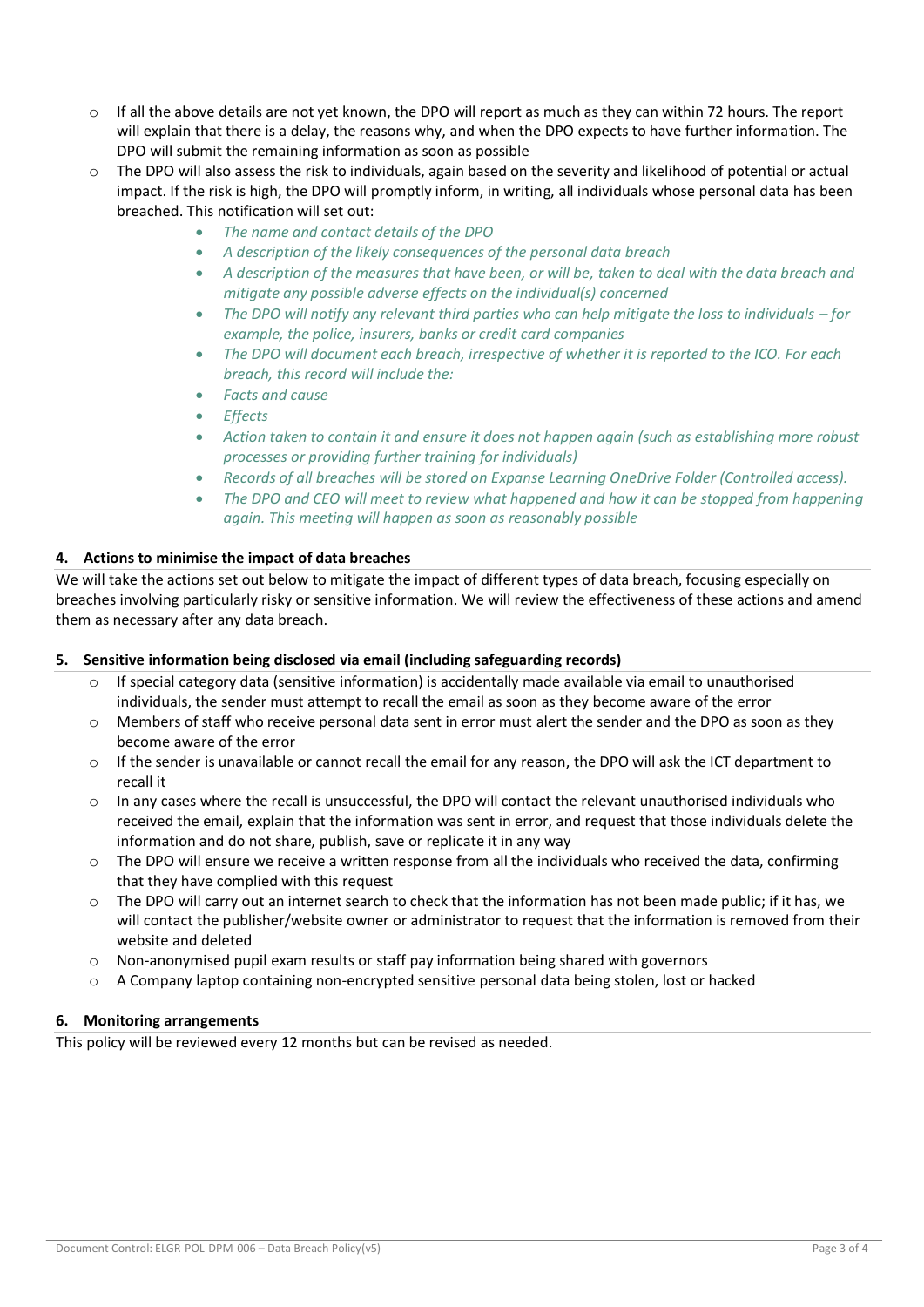- $\circ$  If all the above details are not yet known, the DPO will report as much as they can within 72 hours. The report will explain that there is a delay, the reasons why, and when the DPO expects to have further information. The DPO will submit the remaining information as soon as possible
- o The DPO will also assess the risk to individuals, again based on the severity and likelihood of potential or actual impact. If the risk is high, the DPO will promptly inform, in writing, all individuals whose personal data has been breached. This notification will set out:
	- *The name and contact details of the DPO*
	- *A description of the likely consequences of the personal data breach*
	- *A description of the measures that have been, or will be, taken to deal with the data breach and mitigate any possible adverse effects on the individual(s) concerned*
	- *The DPO will notify any relevant third parties who can help mitiaate the loss to individuals for example, the police, insurers, banks or credit card companies*
	- *The DPO will document each breach, irrespective of whether it is reported to the ICO. For each breach, this record will include the:*
	- *Facts and cause*
	- *Effects*
	- *Action taken to contain it and ensure it does not happen again (such as establishing more robust processes or providing further training for individuals)*
	- *Records of all breaches will be stored on Expanse Learning OneDrive Folder (Controlled access).*
	- *The DPO and CEO will meet to review what happened and how it can be stopped from happening again. This meeting will happen as soon as reasonably possible*

### **4. Actions to minimise the impact of data breaches**

We will take the actions set out below to mitigate the impact of different types of data breach, focusing especially on breaches involving particularly risky or sensitive information. We will review the effectiveness of these actions and amend them as necessary after any data breach.

### **5. Sensitive information being disclosed via email (including safeguarding records)**

- If special category data (sensitive information) is accidentally made available via email to unauthorised individuals, the sender must attempt to recall the email as soon as they become aware of the error
- o Members of staff who receive personal data sent in error must alert the sender and the DPO as soon as they become aware of the error
- $\circ$  If the sender is unavailable or cannot recall the email for any reason, the DPO will ask the ICT department to recall it
- $\circ$  In any cases where the recall is unsuccessful, the DPO will contact the relevant unauthorised individuals who received the email, explain that the information was sent in error, and request that those individuals delete the information and do not share, publish, save or replicate it in any way
- $\circ$  The DPO will ensure we receive a written response from all the individuals who received the data, confirming that they have complied with this request
- $\circ$  The DPO will carry out an internet search to check that the information has not been made public; if it has, we will contact the publisher/website owner or administrator to request that the information is removed from their website and deleted
- $\circ$  Non-anonymised pupil exam results or staff pay information being shared with governors
- $\circ$  A Company laptop containing non-encrypted sensitive personal data being stolen, lost or hacked

### **6. Monitoring arrangements**

This policy will be reviewed every 12 months but can be revised as needed.